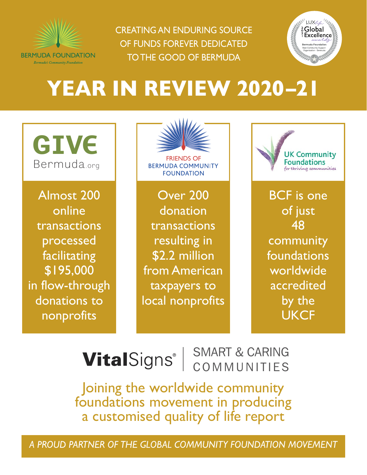

CREATING AN ENDURING SOURCE OF FUNDS FOREVER DEDICATED TO THE GOOD OF BERMUDA



# **YEAR IN REVIEW 2020–21**

**GIVE** Bermuda.org

Almost 200 online transactions processed facilitating \$195,000 in flow-through donations to nonprofits

FRIENDS OF**BERMUDA COMMUNITY FOUNDATION** 

Over 200 donation transactions resulting in \$2.2 million from American taxpayers to local nonprofits



BCF is one of just 48 community foundations worldwide accredited by the **UKCF** 

### SMART & CARING **VitalSigns**<sup>®</sup> COMMUNITIES

Joining the worldwide community foundations movement in producing a customised quality of life report

*A PROUD PARTNER OF THE GLOBAL COMMUNITY FOUNDATION MOVEMENT*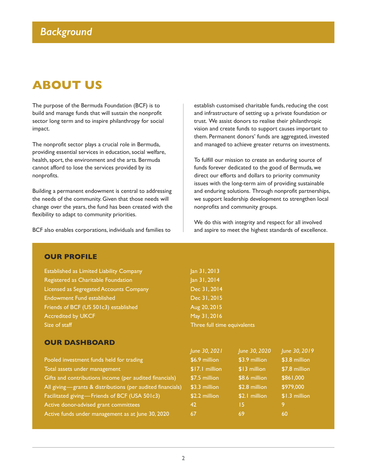# **ABOUT US**

The purpose of the Bermuda Foundation (BCF) is to build and manage funds that will sustain the nonprofit sector long term and to inspire philanthropy for social impact.

The nonprofit sector plays a crucial role in Bermuda, providing essential services in education, social welfare, health, sport, the environment and the arts. Bermuda cannot afford to lose the services provided by its nonprofits.

Building a permanent endowment is central to addressing the needs of the community. Given that those needs will change over the years, the fund has been created with the flexibility to adapt to community priorities.

BCF also enables corporations, individuals and families to

establish customised charitable funds, reducing the cost and infrastructure of setting up a private foundation or trust. We assist donors to realise their philanthropic vision and create funds to support causes important to them. Permanent donors' funds are aggregated, invested and managed to achieve greater returns on investments.

To fulfill our mission to create an enduring source of funds forever dedicated to the good of Bermuda, we direct our efforts and dollars to priority community issues with the long-term aim of providing sustainable and enduring solutions. Through nonprofit partnerships, we support leadership development to strengthen local nonprofits and community groups.

We do this with integrity and respect for all involved and aspire to meet the highest standards of excellence.

### **OUR PROFILE**

Established as Limited Liability Company Jan 31, 2013 Registered as Charitable Foundation Jan 31, 2014 Licensed as Segregated Accounts Company Dec 31, 2014 Endowment Fund established Dec 31, 2015 Friends of BCF (US 501c3) established Aug 20, 2015 Accredited by UKCF May 31, 2016 Size of staff Three full time equivalents

**OUR DASHBOARD**

### *June 30, 2021 June 30, 2020 June 30, 2019* Pooled investment funds held for trading \$6.9 million \$3.9 million \$3.8 million \$3.8 million Total assets under management **617.1** million \$17.1 million \$13 million \$7.8 million Gifts and contributions income (per audited financials) \$7.5 million \$8.6 million \$861,000 All giving—grants & distributions (per audited financials) \$3.3 million \$2.8 million \$979,000 Facilitated giving—Friends of BCF (USA 501c3) \$2.2 million \$2.1 million \$1.3 million Active donor-advised grant committees 1988 120 15 15 9 9

Active funds under management as at June 30, 2020 67 69 69 60 60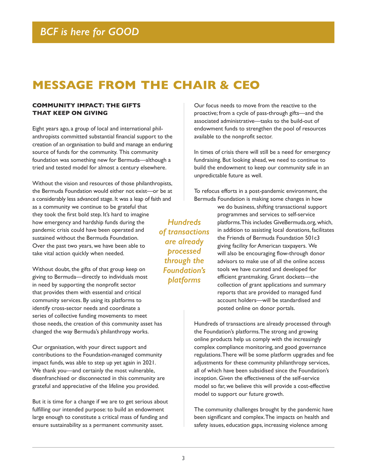# **MESSAGE FROM THE CHAIR & CEO**

### **COMMUNITY IMPACT: THE GIFTS THAT KEEP ON GIVING**

Eight years ago, a group of local and international philanthropists committed substantial financial support to the creation of an organisation to build and manage an enduring source of funds for the community. This community foundation was something new for Bermuda—although a tried and tested model for almost a century elsewhere.

Without the vision and resources of those philanthropists, the Bermuda Foundation would either not exist—or be at a considerably less advanced stage. It was a leap of faith and as a community we continue to be grateful that they took the first bold step. It's hard to imagine how emergency and hardship funds during the pandemic crisis could have been operated and sustained without the Bermuda Foundation. Over the past two years, we have been able to take vital action quickly when needed.

Without doubt, the gifts of that group keep on giving to Bermuda—directly to individuals most in need by supporting the nonprofit sector that provides them with essential and critical community services. By using its platforms to identify cross-sector needs and coordinate a series of collective funding movements to meet those needs, the creation of this community asset has changed the way Bermuda's philanthropy works.

Our organisation, with your direct support and contributions to the Foundation-managed community impact funds, was able to step up yet again in 2021. We thank you—and certainly the most vulnerable, disenfranchised or disconnected in this community are grateful and appreciative of the lifeline you provided.

But it is time for a change if we are to get serious about fulfilling our intended purpose: to build an endowment large enough to constitute a critical mass of funding and ensure sustainability as a permanent community asset.

Our focus needs to move from the reactive to the proactive; from a cycle of pass-through gifts—and the associated administrative—tasks to the build-out of endowment funds to strengthen the pool of resources available to the nonprofit sector.

In times of crisis there will still be a need for emergency fundraising. But looking ahead, we need to continue to build the endowment to keep our community safe in an unpredictable future as well.

To refocus efforts in a post-pandemic environment, the Bermuda Foundation is making some changes in how

*Hundreds of transactions are already processed through the Foundation's platforms*

we do business, shifting transactional support programmes and services to self-service platforms. This includes GiveBermuda.org, which, in addition to assisting local donations, facilitates the Friends of Bermuda Foundation 501c3 giving facility for American taxpayers. We will also be encouraging flow-through donor advisors to make use of all the online access tools we have curated and developed for efficient grantmaking. Grant dockets—the collection of grant applications and summary reports that are provided to managed fund account holders—will be standardised and posted online on donor portals.

Hundreds of transactions are already processed through the Foundation's platforms. The strong and growing online products help us comply with the increasingly complex compliance monitoring, and good governance regulations. There will be some platform upgrades and fee adjustments for these community philanthropy services, all of which have been subsidised since the Foundation's inception. Given the effectiveness of the self-service model so far, we believe this will provide a cost-effective model to support our future growth.

The community challenges brought by the pandemic have been significant and complex. The impacts on health and safety issues, education gaps, increasing violence among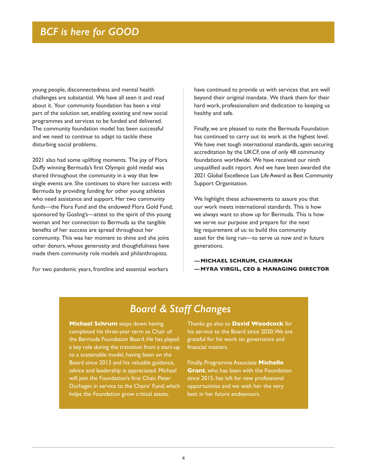young people, disconnectedness and mental health challenges are substantial. We have all seen it and read about it. Your community foundation has been a vital part of the solution set, enabling existing and new social programmes and services to be funded and delivered. The community foundation model has been successful and we need to continue to adapt to tackle these disturbing social problems.

2021 also had some uplifting moments. The joy of Flora Duffy winning Bermuda's first Olympic gold medal was shared throughout the community in a way that few single events are. She continues to share her success with Bermuda by providing funding for other young athletes who need assistance and support. Her two community funds—the Flora Fund and the endowed Flora Gold Fund, sponsored by Gosling's—attest to the spirit of this young woman and her connection to Bermuda as the tangible benefits of her success are spread throughout her community. This was her moment to shine and she joins other donors, whose generosity and thoughtfulness have made them community role models and philanthropists.

For two pandemic years, frontline and essential workers

have continued to provide us with services that are well beyond their original mandate. We thank them for their hard work, professionalism and dedication to keeping us healthy and safe.

Finally, we are pleased to note the Bermuda Foundation has continued to carry out its work at the highest level. We have met tough international standards, again securing accreditation by the UKCF, one of only 48 community foundations worldwide. We have received our ninth unqualified audit report. And we have been awarded the 2021 Global Excellence Lux Life Award as Best Community Support Organisation.

We highlight these achievements to assure you that our work meets international standards. This is how we always want to show up for Bermuda. This is how we serve our purpose and prepare for the next big requirement of us: to build this community asset for the long run—to serve us now and in future generations.

**—MICHAEL SCHRUM, CHAIRMAN —MYRA VIRGIL, CEO & MANAGING DIRECTOR**

# *Board & Staff Changes*

**Michael Schrum** steps down having completed his three-year term as Chair of the Bermuda Foundation Board. He has played a key role during the transition from a start-up to a sustainable model, having been on the Board since 2013 and his valuable guidance, advice and leadership is appreciated. Michael will join the Foundation's first Chair, Peter Durhager, in service to the Chairs' Fund, which helps the Foundation grow critical assets.

Thanks go also to **David Woodcock** for his service to the Board since 2020. We are grateful for his work on governance and financial matters.

Finally, Programme Associate **Michelle Grant**, who has been with the Foundation since 2015, has left for new professional opportunities and we wish her the very best in her future endeavours.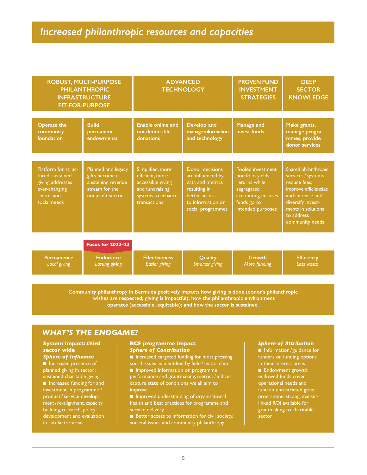### *Increased philanthropic resources and capacities*

| <b>ROBUST, MULTI-PURPOSE</b><br><b>PHILANTHROPIC</b><br><b>INFRASTRUCTURE</b><br><b>FIT-FOR-PURPOSE</b>    |                                                                                                  | <b>ADVANCED</b><br><b>TECHNOLOGY</b>                                                                              |                                                                                                                                     | <b>PROVEN FUND</b><br><b>INVESTMENT</b><br><b>STRATEGIES</b>                                                                   | <b>DEEP</b><br><b>SECTOR</b><br><b>KNOWLEDGE</b>                                                                                                                                   |
|------------------------------------------------------------------------------------------------------------|--------------------------------------------------------------------------------------------------|-------------------------------------------------------------------------------------------------------------------|-------------------------------------------------------------------------------------------------------------------------------------|--------------------------------------------------------------------------------------------------------------------------------|------------------------------------------------------------------------------------------------------------------------------------------------------------------------------------|
| <b>Operate the</b><br>community<br>foundation                                                              | <b>Build</b><br>permanent<br>endowments                                                          | <b>Enable online and</b><br>tax-deductible<br>donations                                                           | Develop and<br>manage information<br>and technology                                                                                 | Manage and<br>invest funds                                                                                                     | Make grants,<br>manage progra-<br>mmes, provide<br>donor services                                                                                                                  |
| Platform for struc-<br>tured, sustained<br>giving addresses<br>ever-changing<br>sector and<br>social needs | Planned and legacy<br>gifts become a<br>sustaining revenue<br>stream for the<br>nonprofit sector | Simplified, more<br>efficient, more<br>accessible giving<br>and fundraising<br>systems to enhance<br>transactions | Donor decisions<br>are influenced by<br>data and metrics<br>resulting in<br>better access<br>to information on<br>social programmes | Pooled investment<br>portfolio yields<br>returns while<br>segregated<br>accounting ensures<br>funds go to<br>intended purposes | Shared philanthropic<br>services / systems<br>reduce fees:<br>improve efficiencies<br>and increase and<br>diversify invest-<br>ments in solutions<br>to address<br>community needs |
|                                                                                                            | <b>Focus for 2022-23</b>                                                                         |                                                                                                                   |                                                                                                                                     |                                                                                                                                |                                                                                                                                                                                    |
| <b>Permanence</b><br><b>Local giving</b>                                                                   | <b>Endurance</b><br>Lasting giving                                                               | <b>Effectiveness</b><br><b>Easier</b> giving                                                                      | Quality<br>Smarter giving                                                                                                           | Growth<br>More funding                                                                                                         | <b>Efficiency</b><br>Less waste                                                                                                                                                    |

**Community philanthropy in Bermuda positively impacts how giving is done (donor's philanthropic wishes are respected; giving is impactful); how the philanthropic environment operates (accessible, equitable); and how the sector is sustained.**

### *WHAT'S THE ENDGAME?*

#### **System impact: third sector wide** *Sphere of Influence*

n Increased presence of planned giving in sector; sustained charitable giving n Increased funding for and investment in programme / product / service development/re-alignment, capacity building, research, policy development and evaluation in sub-factor areas

#### **BCF programme impact** *Sphere of Contribution*

■ Increased, targeted funding for most pressing social issues as identified by field /sector data

**n** Improved information on programme performance and grantmaking; metrics / indices capture state of conditions we all aim to improve

**n** Improved understanding of organisational health and best practices for programme and service delivery

 $\blacksquare$  Better access to information for civil society, societal issues and community philanthropy

#### *Sphere of Attribution*

n Information / guidance for funders on funding options in their interest areas

**n** Endowment growth: endowed funds cover operational needs and fund an unrestricted grant programme; strong, marketlinked ROI available for grantmaking to charitable sector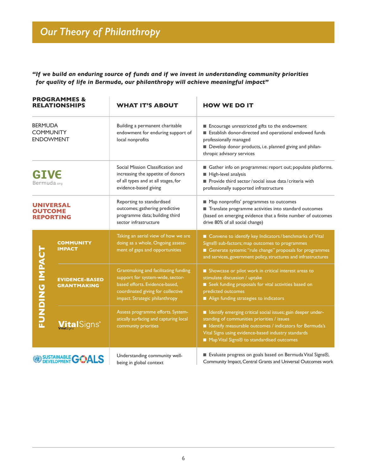# *Our Theory of Philanthropy*

*"If we build an enduring source of funds and if we invest in understanding community priorities for quality of life in Bermuda, our philanthropy will achieve meaningful impact"*

| <b>PROGRAMMES &amp;</b><br><b>RELATIONSHIPS</b><br><b>BERMUDA</b><br><b>COMMUNITY</b><br><b>ENDOWMENT</b> |                                             | <b>WHAT IT'S ABOUT</b>                                                                                                                                                            | <b>HOW WE DO IT</b><br>Encourage unrestricted gifts to the endowment<br>Establish donor-directed and operational endowed funds<br>professionally managed<br>Develop donor products, i.e. planned giving and philan-<br>thropic advisory services                                 |  |  |
|-----------------------------------------------------------------------------------------------------------|---------------------------------------------|-----------------------------------------------------------------------------------------------------------------------------------------------------------------------------------|----------------------------------------------------------------------------------------------------------------------------------------------------------------------------------------------------------------------------------------------------------------------------------|--|--|
|                                                                                                           |                                             | Building a permanent charitable<br>endowment for enduring support of<br>local nonprofits                                                                                          |                                                                                                                                                                                                                                                                                  |  |  |
| <b>GIVE</b><br>Bermuda.org                                                                                |                                             | Social Mission Classification and<br>increasing the appetite of donors<br>of all types and at all stages, for<br>evidence-based giving                                            | Gather info on programmes: report out; populate platforms.<br>High-level analysis<br>Provide third sector/social issue data/criteria with<br>professionally supported infrastructure                                                                                             |  |  |
| <b>OUTCOME</b>                                                                                            | <b>UNIVERSAL</b><br><b>REPORTING</b>        | Reporting to standardised<br>outcomes; gathering predictive<br>programme data; building third<br>sector infrastructure                                                            | ■ Map nonprofits' programmes to outcomes<br>Translate programme activities into standard outcomes<br>(based on emerging evidence that a finite number of outcomes<br>drive 80% of all social change)                                                                             |  |  |
|                                                                                                           | <b>COMMUNITY</b><br><b>IMPACT</b>           | Taking an aerial view of how we are<br>doing as a whole. Ongoing assess-<br>ment of gaps and opportunities                                                                        | Convene to identify key Indicators / benchmarks of Vital<br>Signs® sub-factors; map outcomes to programmes<br>Generate systemic "rule change" proposals for programmes<br>and services, government policy, structures and infrastructures                                        |  |  |
| <b>FUNDING IMPACT</b>                                                                                     | <b>EVIDENCE-BASED</b><br><b>GRANTMAKING</b> | Grantmaking and facilitating funding<br>support for system-wide, sector-<br>based efforts. Evidence-based,<br>coordinated giving for collective<br>impact. Strategic philanthropy | Showcase or pilot work in critical interest areas to<br>stimulate discussion / uptake<br>Seek funding proposals for vital activities based on<br>predicted outcomes<br>Align funding strategies to indicators                                                                    |  |  |
|                                                                                                           | <b>VitalSigns</b>                           | Assess programme efforts. System-<br>atically surfacing and capturing local<br>community priorities                                                                               | I Identify emerging critical social issues; gain deeper under-<br>standing of communities priorities / issues<br>I Identify measurable outcomes / indicators for Bermuda's<br>Vital Signs using evidence-based industry standards<br>■ Map Vital Signs® to standardised outcomes |  |  |
|                                                                                                           | <b>SUSTAINABLE GOALS</b>                    | Understanding community well-<br>being in global context                                                                                                                          | Evaluate progress on goals based on Bermuda Vital Signs®,<br>Community Impact, Central Grants and Universal Outcomes work                                                                                                                                                        |  |  |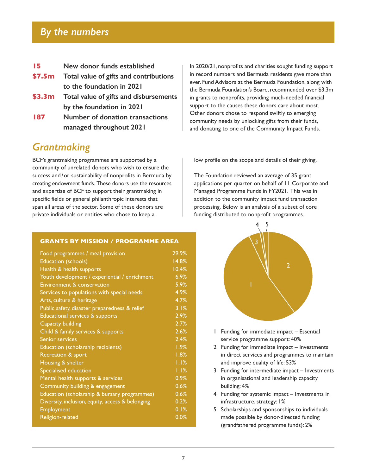### *By the numbers*

| 15 |  |  |  | New donor funds established |
|----|--|--|--|-----------------------------|
|----|--|--|--|-----------------------------|

- **\$7.5m Total value of gifts and contributions to the foundation in 2021**
- **\$3.3m Total value of gifts and disbursements by the foundation in 2021**
- **187 Number of donation transactions managed throughout 2021**

### *Grantmaking*

BCF's grantmaking programmes are supported by a community of unrelated donors who wish to ensure the success and /or sustainability of nonprofits in Bermuda by creating endowment funds. These donors use the resources and expertise of BCF to support their grantmaking in specific fields or general philanthropic interests that span all areas of the sector. Some of these donors are private individuals or entities who chose to keep a

#### **GRANTS BY MISSION / PROGRAMME AREA**

| Food programmes / meal provision                 | 29.9%              |
|--------------------------------------------------|--------------------|
| Education (schools)                              | 14.8%              |
| Health & health supports                         | 10.4%              |
| Youth development / experiential / enrichment    | 6.9%               |
| Environment & conservation                       | 5.9%               |
| Services to populations with special needs       | 4.9%               |
| Arts, culture & heritage                         | 4.7%               |
| Public safety, disaster preparedness & relief    | 3.1%               |
| Educational services & supports                  | 2.9%               |
| <b>Capacity building</b>                         | 2.7%               |
| Child & family services & supports               | 2.6%               |
| Senior services                                  | 2.4%               |
| Education (scholarship recipients)               | 1.9%               |
| Recreation & sport                               | 1.8%               |
| Housing & shelter                                | $\overline{1.1}$ % |
| Specialised education                            | 1.1%               |
| Mental health supports & services                | 0.9%               |
| Community building & engagement                  | 0.6%               |
| Education (scholarship & bursary programmes)     | 0.6%               |
| Diversity, inclusion, equity, access & belonging | 0.2%               |
| <b>Employment</b>                                | 0.1%               |
| Religion-related                                 | 0.0%               |
|                                                  |                    |

In 2020/21, nonprofits and charities sought funding support in record numbers and Bermuda residents gave more than ever. Fund Advisors at the Bermuda Foundation, along with the Bermuda Foundation's Board, recommended over \$3.3m in grants to nonprofits, providing much-needed financial support to the causes these donors care about most. Other donors chose to respond swiftly to emerging community needs by unlocking gifts from their funds, and donating to one of the Community Impact Funds.

low profile on the scope and details of their giving.

The Foundation reviewed an average of 35 grant applications per quarter on behalf of 11 Corporate and Managed Programme Funds in FY2021. This was in addition to the community impact fund transaction processing. Below is an analysis of a subset of core funding distributed to nonprofit programmes.



- 1 Funding for immediate impact Essential service programme support: 40%
- 2 Funding for immediate impact Investments in direct services and programmes to maintain and improve quality of life: 53%
- 3 Funding for intermediate impact Investments in organisational and leadership capacity building: 4%
- 4 Funding for systemic impact Investments in infrastructure, strategy: 1%
- 5 Scholarships and sponsorships to individuals made possible by donor-directed funding (grandfathered programme funds): 2%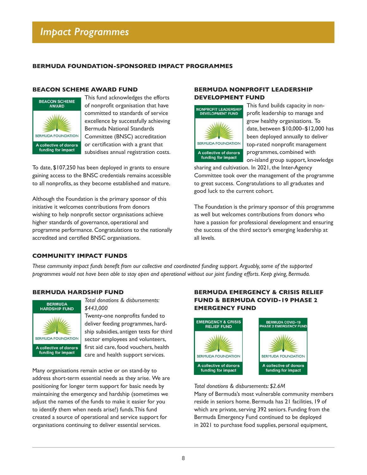### **BERMUDA FOUNDATION-SPONSORED IMPACT PROGRAMMES**

### **BEACON SCHEME AWARD FUND**



This fund acknowledges the efforts of nonprofit organisation that have committed to standards of service excellence by successfully achieving Bermuda National Standards Committee (BNSC) accreditation or certification with a grant that subsidises annual registration costs.

To date, \$107,250 has been deployed in grants to ensure gaining access to the BNSC credentials remains accessible to all nonprofits, as they become established and mature.

Although the Foundation is the primary sponsor of this initiative it welcomes contributions from donors wishing to help nonprofit sector organisations achieve higher standards of governance, operational and programme performance. Congratulations to the nationally accredited and certified BNSC organisations.

### **BERMUDA NONPROFIT LEADERSHIP DEVELOPMENT FUND**



This fund builds capacity in nonprofit leadership to manage and grow healthy organisations. To date, between \$10,000–\$12,000 has been deployed annually to deliver top-rated nonprofit management programmes, combined with

on-island group support, knowledge sharing and cultivation. In 2021, the Inter-Agency

Committee took over the management of the programme to great success. Congratulations to all graduates and good luck to the current cohort.

The Foundation is the primary sponsor of this programme as well but welcomes contributions from donors who have a passion for professional development and ensuring the success of the third sector's emerging leadership at all levels.

### **COMMUNITY IMPACT FUNDS**

*These community impact funds benefit from our collective and coordinated funding support. Arguably, some of the supported programmes would not have been able to stay open and operational without our joint funding efforts. Keep giving, Bermuda.* 

### **BERMUDA HARDSHIP FUND**



*Total donations & disbursements: \$443,000*

Twenty-one nonprofits funded to deliver feeding programmes, hardship subsidies, antigen tests for third sector employees and volunteers, first aid care, food vouchers, health care and health support services.

Many organisations remain active or on stand-by to address short-term essential needs as they arise. We are positioning for longer term support for basic needs by maintaining the emergency and hardship (sometimes we adjust the names of the funds to make it easier for you to identify them when needs arise!) funds. This fund created a source of operational and service support for organisations continuing to deliver essential services.

### **BERMUDA EMERGENCY & CRISIS RELIEF FUND & BERMUDA COVID-19 PHASE 2 EMERGENCY FUND**



*Total donations & disbursements: \$2.6M*

Many of Bermuda's most vulnerable community members reside in seniors home. Bermuda has 21 facilities, 19 of which are private, serving 392 seniors. Funding from the Bermuda Emergency Fund continued to be deployed in 2021 to purchase food supplies, personal equipment,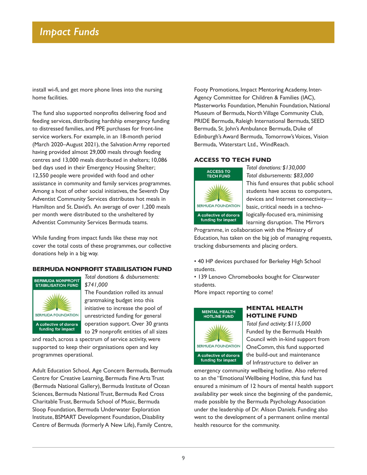install wi-fi, and get more phone lines into the nursing home facilities.

The fund also supported nonprofits delivering food and feeding services, distributing hardship emergency funding to distressed families, and PPE purchases for front-line service workers. For example, in an 18-month period (March 2020–August 2021), the Salvation Army reported having provided almost 29,000 meals through feeding centres and 13,000 meals distributed in shelters; 10,086 bed days used in their Emergency Housing Shelter; 12,550 people were provided with food and other assistance in community and family services programmes. Among a host of other social initiatives, the Seventh Day Adventist Community Services distributes hot meals in Hamilton and St. David's. An average of over 1,200 meals per month were distributed to the unsheltered by Adventist Community Services Bermuda teams.

While funding from impact funds like these may not cover the total costs of these programmes, our collective donations help in a big way.

### **BERMUDA NONPROFIT STABILISATION FUND**



*Total donations & disbursements: \$741,000*

The Foundation rolled its annual grantmaking budget into this initiative to increase the pool of unrestricted funding for general operation support. Over 30 grants to 29 nonprofit entities of all sizes

and reach, across a spectrum of service activity, were supported to keep their organisations open and key programmes operational.

Adult Education School, Age Concern Bermuda, Bermuda Centre for Creative Learning, Bermuda Fine Arts Trust (Bermuda National Gallery), Bermuda Institute of Ocean Sciences, Bermuda National Trust, Bermuda Red Cross Charitable Trust, Bermuda School of Music, Bermuda Sloop Foundation, Bermuda Underwater Exploration Institute, BSMART Development Foundation, Disability Centre of Bermuda (formerly A New Life), Family Centre,

Footy Promotions, Impact Mentoring Academy, Inter-Agency Committee for Children & Families (IAC), Masterworks Foundation, Menuhin Foundation, National Museum of Bermuda, North Village Community Club, PRIDE Bermuda, Raleigh International Bermuda, SEED Bermuda, St. John's Ambulance Bermuda, Duke of Edinburgh's Award Bermuda, Tomorrow's Voices, Vision Bermuda, Waterstart Ltd., WindReach.

### **ACCESS TO TECH FUND**



*Total donations: \$130,000 Total disbursements: \$83,000* This fund ensures that public school students have access to computers, devices and Internet connectivity basic, critical needs in a technologically-focused era, minimising learning disruption. The Mirrors

Programme, in collaboration with the Ministry of Education, has taken on the big job of managing requests, tracking disbursements and placing orders.

• 40 HP devices purchased for Berkeley High School students.

• 139 Lenovo Chromebooks bought for Clearwater students.

More impact reporting to come!



### **MENTAL HEALTH HOTLINE FUND**

*Total fund activity: \$115,000* Funded by the Bermuda Health Council with in-kind support from OneComm, this fund supported the build-out and maintenance of Infrastructure to deliver an

emergency community wellbeing hotline. Also referred to an the "Emotional Wellbeing Hotline, this fund has ensured a minimum of 12 hours of mental health support availability per week since the beginning of the pandemic, made possible by the Bermuda Psychology Association under the leadership of Dr. Alison Daniels. Funding also went to the development of a permanent online mental health resource for the community.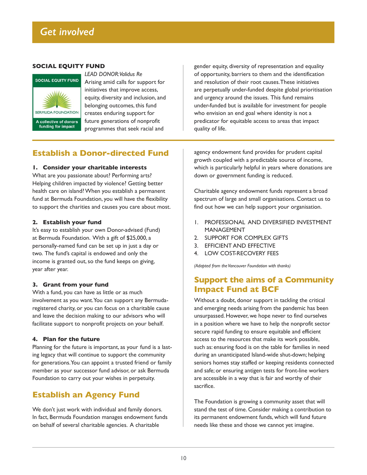### **SOCIAL EQUITY FUND**



*LEAD DONOR:Validus Re* Arising amid calls for support for initiatives that improve access, equity, diversity and inclusion, and belonging outcomes, this fund creates enduring support for future generations of nonprofit programmes that seek racial and

gender equity, diversity of representation and equality of opportunity, barriers to them and the identification and resolution of their root causes. These initiatives are perpetually under-funded despite global prioritisation and urgency around the issues. This fund remains under-funded but is available for investment for people who envision an end goal where identity is not a predicator for equitable access to areas that impact quality of life.

### **Establish a Donor-directed Fund**

### **1. Consider your charitable interests**

What are you passionate about? Performing arts? Helping children impacted by violence? Getting better health care on island? When you establish a permanent fund at Bermuda Foundation, you will have the flexibility to support the charities and causes you care about most.

### **2. Establish your fund**

It's easy to establish your own Donor-advised (Fund) at Bermuda Foundation. With a gift of \$25,000, a personally-named fund can be set up in just a day or two. The fund's capital is endowed and only the income is granted out, so the fund keeps on giving, year after year.

### **3. Grant from your fund**

With a fund, you can have as little or as much involvement as you want. You can support any Bermudaregistered charity, or you can focus on a charitable cause and leave the decision making to our advisors who will facilitate support to nonprofit projects on your behalf.

### **4. Plan for the future**

Planning for the future is important, as your fund is a lasting legacy that will continue to support the community for generations. You can appoint a trusted friend or family member as your successor fund advisor, or ask Bermuda Foundation to carry out your wishes in perpetuity.

### **Establish an Agency Fund**

We don't just work with individual and family donors. In fact, Bermuda Foundation manages endowment funds on behalf of several charitable agencies. A charitable

agency endowment fund provides for prudent capital growth coupled with a predictable source of income, which is particularly helpful in years where donations are down or government funding is reduced.

Charitable agency endowment funds represent a broad spectrum of large and small organisations. Contact us to find out how we can help support your organisation.

- 1. PROFESSIONAL AND DIVERSIFIED INVESTMENT MANAGEMENT
- 2. SUPPORT FOR COMPLEX GIFTS
- 3. EFFICIENT AND EFFECTIVE
- 4. LOW COST-RECOVERY FEES

*(Adapted from the Vancouver Foundation with thanks)*

### **Support the aims of a Community Impact Fund at BCF**

Without a doubt, donor support in tackling the critical and emerging needs arising from the pandemic has been unsurpassed. However, we hope never to find ourselves in a position where we have to help the nonprofit sector secure rapid funding to ensure equitable and efficient access to the resources that make its work possible, such as: ensuring food is on the table for families in need during an unanticipated Island-wide shut-down; helping seniors homes stay staffed or keeping residents connected and safe; or ensuring antigen tests for front-line workers are accessible in a way that is fair and worthy of their sacrifice.

The Foundation is growing a community asset that will stand the test of time. Consider making a contribution to its permanent endowment funds, which will fund future needs like these and those we cannot yet imagine.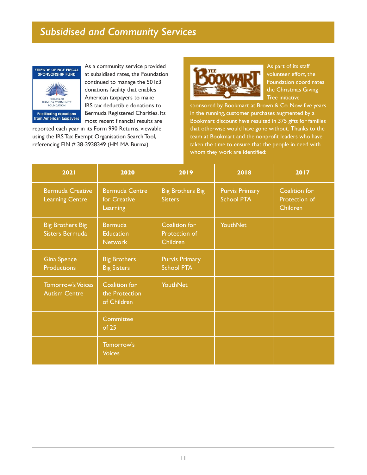# *Subsidised and Community Services*



As a community service provided at subsidised rates, the Foundation continued to manage the 501c3 donations facility that enables American taxpayers to make IRS tax deductible donations to Bermuda Registered Charities. Its most recent financial results are

reported each year in its Form 990 Returns, viewable using the IRS Tax Exempt Organisation Search Tool, referencing EIN # 38-3938349 (HM MA Burma).



As part of its staff volunteer effort, the Foundation coordinates the Christmas Giving Tree initiative

sponsored by Bookmart at Brown & Co. Now five years in the running, customer purchases augmented by a Bookmart discount have resulted in 375 gifts for families that otherwise would have gone without. Thanks to the team at Bookmart and the nonprofit leaders who have taken the time to ensure that the people in need with whom they work are identified:

| 2021                                              | 2020                                                 | 2019                                       | 2018                                       | 2017                                       |
|---------------------------------------------------|------------------------------------------------------|--------------------------------------------|--------------------------------------------|--------------------------------------------|
| <b>Bermuda Creative</b><br><b>Learning Centre</b> | <b>Bermuda Centre</b><br>for Creative<br>Learning    | <b>Big Brothers Big</b><br><b>Sisters</b>  | <b>Purvis Primary</b><br><b>School PTA</b> | Coalition for<br>Protection of<br>Children |
| <b>Big Brothers Big</b><br><b>Sisters Bermuda</b> | <b>Bermuda</b><br><b>Education</b><br><b>Network</b> | Coalition for<br>Protection of<br>Children | <b>YouthNet</b>                            |                                            |
| <b>Gina Spence</b><br><b>Productions</b>          | <b>Big Brothers</b><br><b>Big Sisters</b>            | <b>Purvis Primary</b><br><b>School PTA</b> |                                            |                                            |
| <b>Tomorrow's Voices</b><br><b>Autism Centre</b>  | Coalition for<br>the Protection<br>of Children       | <b>YouthNet</b>                            |                                            |                                            |
|                                                   | <b>Committee</b><br>of 25                            |                                            |                                            |                                            |
|                                                   | Tomorrow's<br><b>Voices</b>                          |                                            |                                            |                                            |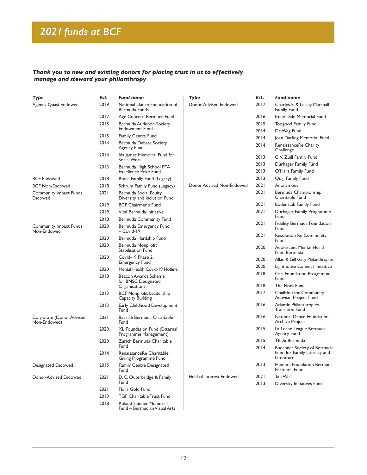# *2021funds at BCF*

### *Thank you to new and existing donors for placing trust in us to effectively manage and steward your philanthropy*

| Туре                                     | Est.         | Fund name                                              | <b>Type</b>               | Est.         | <b>Fund name</b>                                               |
|------------------------------------------|--------------|--------------------------------------------------------|---------------------------|--------------|----------------------------------------------------------------|
| Agency Quasi-Endowed                     | 2019         | National Dance Foundation of<br>Bermuda Funds          | Donor-Advised Endowed     | 2017         | Charles E. & Lesley Marshall<br><b>Family Fund</b>             |
|                                          | 2017         | Age Concern Bermuda Fund                               |                           | 2016         | Irene Dale Memorial Fund                                       |
|                                          | 2015         | Bermuda Audubon Society                                |                           | 2015         | <b>Toogood Family Fund</b>                                     |
|                                          |              | <b>Endowment Fund</b>                                  |                           | 2014         | De Weg Fund                                                    |
|                                          | 2015         | <b>Family Centre Fund</b>                              |                           | 2014         | Joan Darling Memorial Fund                                     |
|                                          | 2014         | Bermuda Debate Society<br>Agency Fund                  |                           | 2014         | RenaissanceRe Charity<br>Challenge                             |
|                                          | 2014         | Ida James Memorial Fund for<br>Social Work             |                           | 2013         | C.V. Zuill Family Fund                                         |
|                                          | 2013         | Bermuda High School PTA                                |                           | 2013         | Durhager Family Fund                                           |
|                                          |              | <b>Excellence Prize Fund</b>                           |                           | 2013         | O'Hara Family Fund                                             |
| <b>BCF Endowed</b>                       | 2018         | Brace Family Fund (Legacy)                             |                           | 2013         | Quig Family Fund                                               |
| <b>BCF Non-Endowed</b>                   | 2018         | Schrum Family Fund (Legacy)                            | Donor Advised Non-Endowed | 2021         | Anonymous                                                      |
| <b>Community Impact Funds</b><br>Endowed | 2021         | Bermuda Social Equity,<br>Diversity and Inclusion Fund |                           | 2021         | Bermuda Championship<br>Charitable Fund                        |
|                                          | 2019         | <b>BCF Chairmen's Fund</b>                             |                           | 2021         | Bodenstab Family Fund                                          |
|                                          | 2019<br>2018 | Vital Bermuda Initiative<br>Bermuda Community Fund     |                           | 2021         | Durhager Family Programme<br>Fund                              |
| <b>Community Impact Funds</b>            | 2020         | Bermuda Emergency Fund<br>$-Covid-19$                  |                           | 2021         | Fidelity Bermuda Foundation<br>Fund                            |
| Non-Endowed                              | 2020         | Bermuda Hardship Fund                                  |                           | 2021         | <b>Resolution Re Community</b><br>Fund                         |
|                                          | 2020         | Bermuda Nonprofit<br><b>Stabilisation Fund</b>         |                           | 2020         | Adolescent Mental Health<br>Fund Bermuda                       |
|                                          | 2020         | Covid-19 Phase 2<br><b>Emergency Fund</b>              |                           | 2020         | Allan & Gill Gray Philanthropies                               |
|                                          | 2020         | Mental Health Covid-19 Hotline                         |                           | 2020         | Lighthouse Connect Initiative                                  |
|                                          | 2018         | Beacon Awards Scheme<br>for BNSC Designated            |                           | 2018         | Cari Foundation Programme<br>Fund                              |
|                                          |              | Organisations                                          |                           | 2018         | The Flora Fund                                                 |
|                                          | 2013         | <b>BCF Nonprofit Leadership</b><br>Capacity Building   |                           | 2017         | <b>Coalition for Community</b><br><b>Activism Project Fund</b> |
|                                          | 2013         | Early Childhood Development<br>Fund                    |                           | 2016         | Atlantic Philanthropies<br><b>Transition Fund</b>              |
| Corporate (Donor Advised<br>Non-Endowed) | 2021         | Bacardi Bermuda Charitable<br>Fund                     |                           | 2016         | National Dance Foundation<br>Archive Project                   |
|                                          | 2020         | XL Foundation Fund (External<br>Programme Management)  |                           | 2015         | La Leche League Bermuda<br>Agency Fund                         |
|                                          | 2020         | Zurich Bermuda Charitable<br>Fund                      |                           | 2015<br>2014 | TED <sub>x</sub> Bermuda<br>Buechner Society of Bermuda        |
|                                          | 2014         | RenaissanceRe Charitable<br>Giving Programme Fund      |                           |              | Fund for Family Literacy and<br>Literature                     |
| Designated Endowed                       | 2015         | <b>Family Centre Designated</b><br>Fund                |                           | 2013         | Hemera Foundation Bermuda<br>Partners' Fund                    |
| Donor-Advised Endowed                    | 2021         | D. C. Outerbridge & Family<br>Fund                     | Field of Interest Endowed | 2021<br>2013 | <b>TalkWell</b>                                                |
|                                          | 2021         | Flora Gold Fund                                        |                           |              | Diversity Initiatives Fund                                     |
|                                          | 2019         | <b>TGF Charitable Trust Fund</b>                       |                           |              |                                                                |
|                                          | 2018         | Roland Skinner Memorial                                |                           |              |                                                                |

Fund – Bermudian Visual Arts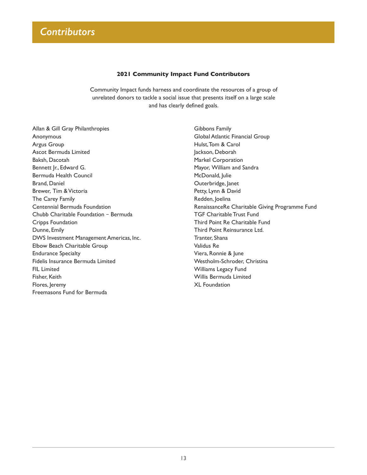### **2021 Community Impact Fund Contributors**

Community Impact funds harness and coordinate the resources of a group of unrelated donors to tackle a social issue that presents itself on a large scale and has clearly defined goals.

Allan & Gill Gray Philanthropies Anonymous Argus Group Ascot Bermuda Limited Baksh, Dacotah Bennett Jr., Edward G. Bermuda Health Council Brand, Daniel Brewer, Tim & Victoria The Carey Family Centennial Bermuda Foundation Chubb Charitable Foundation – Bermuda Cripps Foundation Dunne, Emily DWS Investment Management Americas, Inc. Elbow Beach Charitable Group Endurance Specialty Fidelis Insurance Bermuda Limited FIL Limited Fisher, Keith Flores, Jeremy Freemasons Fund for Bermuda

Gibbons Family Global Atlantic Financial Group Hulst, Tom & Carol Jackson, Deborah Markel Corporation Mayor, William and Sandra McDonald, Julie Outerbridge, Janet Petty, Lynn & David Redden, Joelina RenaissanceRe Charitable Giving Programme Fund TGF Charitable Trust Fund Third Point Re Charitable Fund Third Point Reinsurance Ltd. Tranter, Shana Validus Re Viera, Ronnie & June Westholm-Schroder, Christina Williams Legacy Fund Willis Bermuda Limited XL Foundation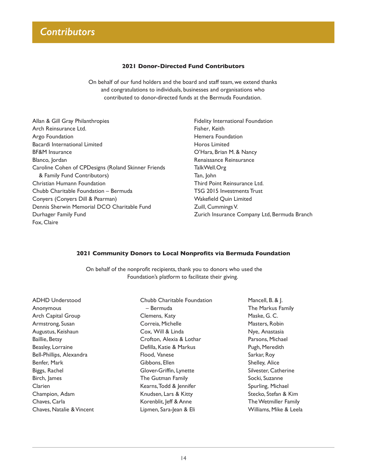### **2021 Donor-Directed Fund Contributors**

On behalf of our fund holders and the board and staff team, we extend thanks and congratulations to individuals, businesses and organisations who contributed to donor-directed funds at the Bermuda Foundation.

- Allan & Gill Gray Philanthropies Arch Reinsurance Ltd. Argo Foundation Bacardi International Limited BF&M Insurance Blanco, Jordan Caroline Cohen of CPDesigns (Roland Skinner Friends & Family Fund Contributors) Christian Humann Foundation Chubb Charitable Foundation – Bermuda Conyers (Conyers Dill & Pearman) Dennis Sherwin Memorial DCO Charitable Fund Durhager Family Fund Fox, Claire
- Fidelity International Foundation Fisher, Keith Hemera Foundation Horos Limited O'Hara, Brian M. & Nancy Renaissance Reinsurance TalkWell.Org Tan, John Third Point Reinsurance Ltd. TSG 2015 Investments Trust Wakefield Quin Limited Zuill, Cummings V. Zurich Insurance Company Ltd, Bermuda Branch

#### **2021 Community Donors to Local Nonprofits via Bermuda Foundation**

On behalf of the nonprofit recipients, thank you to donors who used the Foundation's platform to facilitate their giving.

ADHD Understood Anonymous Arch Capital Group Armstrong, Susan Augustus, Keishaun Baillie, Betsy Beasley, Lorraine Bell-Phillips, Alexandra Benfer, Mark Biggs, Rachel Birch, James Clarien Champion, Adam Chaves, Carla Chaves, Natalie & Vincent Chubb Charitable Foundation – Bermuda Clemens, Katy Correia, Michelle Cox, Will & Linda Crofton, Alexia & Lothar Defilla, Katie & Markus Flood, Vanese Gibbons, Ellen Glover-Griffin, Lynette The Gutman Family Kearns, Todd & Jennifer Knudsen, Lars & Kitty Korenblit, Jeff & Anne Lipmen, Sara-Jean & Eli

Mancell, B. & J. The Markus Family Maske, G. C. Masters, Robin Nye, Anastasia Parsons, Michael Pugh, Meredith Sarkar, Roy Shelley, Alice Silvester, Catherine Socki, Suzanne Spurling, Michael Stecko, Stefan & Kim The Wetmiller Family Williams, Mike & Leela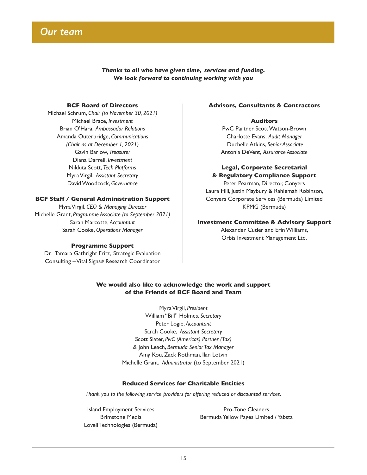

*Thanks to all who have given time, services and funding. We look forward to continuing working with you*

### **BCF Board of Directors**

Michael Schrum, *Chair (to November 30, 2021)* Michael Brace, *Investment* Brian O'Hara, *Ambassador Relations* Amanda Outerbridge, *Communications (Chair as at December 1, 2021)* Gavin Barlow, *Treasurer* Diana Darrell, *Investment* Nikkita Scott, *Tech Platforms* Myra Virgil, *Assistant Secretary* David Woodcock, *Governance*

#### **BCF Staff / General Administration Support**

Myra Virgil, *CEO & Managing Director* Michelle Grant, *Programme Associate (to September 2021)* Sarah Marcotte, *Accountant* Sarah Cooke, *Operations Manager*

#### **Programme Support**

Dr. Tamara Gathright Fritz, Strategic Evaluation Consulting – Vital Signs® Research Coordinator

### **Advisors, Consultants & Contractors**

### **Auditors**

PwC Partner Scott Watson-Brown Charlotte Evans, *Audit Manager* Duchelle Atkins, *Senior Associate* Antonia DeVent, *Assurance Associate*

### **Legal, Corporate Secretarial & Regulatory Compliance Support**

Peter Pearman, Director, Conyers Laura Hill, Justin Maybury & Rahlemah Robinson, Conyers Corporate Services (Bermuda) Limited KPMG (Bermuda)

#### **Investment Committee & Advisory Support**

Alexander Cutler and Erin Williams, Orbis Investment Management Ltd.

### **We would also like to acknowledge the work and support of the Friends of BCF Board and Team**

Myra Virgil, *President* William "Bill" Holmes, *Secretary* Peter Logie, *Accountant* Sarah Cooke, *Assistant Secretary* Scott Slater, *PwC (Americas) Partner (Tax)*  & John Leach, *Bermuda Senior Tax Manager*  Amy Kou, Zack Rothman, Ilan Lotvin Michelle Grant, *Administrator* (to September 2021)

#### **Reduced Services for Charitable Entities**

*Thank you to the following service providers for offering reduced or discounted services.*

Island Employment Services Brimstone Media Lovell Technologies (Bermuda)

Pro-Tone Cleaners Bermuda Yellow Pages Limited / Yabsta